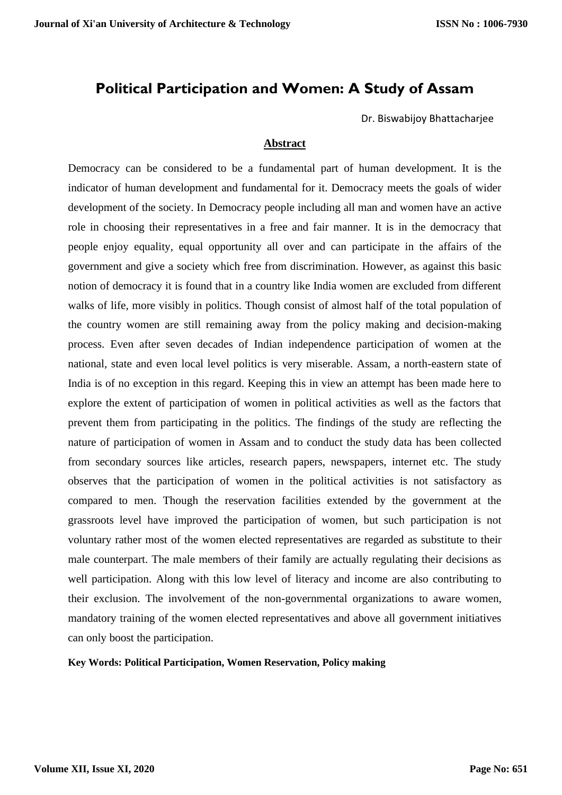# **Political Participation and Women: A Study of Assam**

Dr. Biswabijoy Bhattacharjee

## **Abstract**

Democracy can be considered to be a fundamental part of human development. It is the indicator of human development and fundamental for it. Democracy meets the goals of wider development of the society. In Democracy people including all man and women have an active role in choosing their representatives in a free and fair manner. It is in the democracy that people enjoy equality, equal opportunity all over and can participate in the affairs of the government and give a society which free from discrimination. However, as against this basic notion of democracy it is found that in a country like India women are excluded from different walks of life, more visibly in politics. Though consist of almost half of the total population of the country women are still remaining away from the policy making and decision-making process. Even after seven decades of Indian independence participation of women at the national, state and even local level politics is very miserable. Assam, a north-eastern state of India is of no exception in this regard. Keeping this in view an attempt has been made here to explore the extent of participation of women in political activities as well as the factors that prevent them from participating in the politics. The findings of the study are reflecting the nature of participation of women in Assam and to conduct the study data has been collected from secondary sources like articles, research papers, newspapers, internet etc. The study observes that the participation of women in the political activities is not satisfactory as compared to men. Though the reservation facilities extended by the government at the grassroots level have improved the participation of women, but such participation is not voluntary rather most of the women elected representatives are regarded as substitute to their male counterpart. The male members of their family are actually regulating their decisions as well participation. Along with this low level of literacy and income are also contributing to their exclusion. The involvement of the non-governmental organizations to aware women, mandatory training of the women elected representatives and above all government initiatives can only boost the participation.

### **Key Words: Political Participation, Women Reservation, Policy making**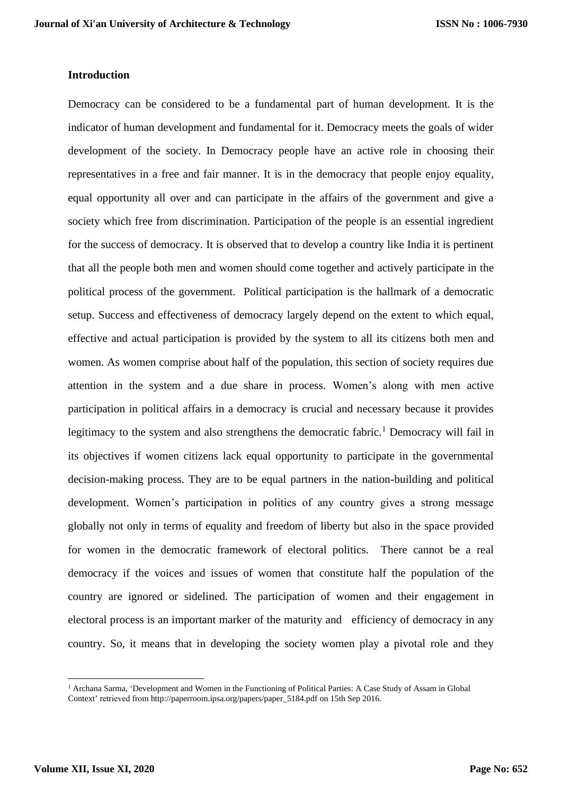## **Introduction**

Democracy can be considered to be a fundamental part of human development. It is the indicator of human development and fundamental for it. Democracy meets the goals of wider development of the society. In Democracy people have an active role in choosing their representatives in a free and fair manner. It is in the democracy that people enjoy equality, equal opportunity all over and can participate in the affairs of the government and give a society which free from discrimination. Participation of the people is an essential ingredient for the success of democracy. It is observed that to develop a country like India it is pertinent that all the people both men and women should come together and actively participate in the political process of the government. Political participation is the hallmark of a democratic setup. Success and effectiveness of democracy largely depend on the extent to which equal, effective and actual participation is provided by the system to all its citizens both men and women. As women comprise about half of the population, this section of society requires due attention in the system and a due share in process. Women's along with men active participation in political affairs in a democracy is crucial and necessary because it provides legitimacy to the system and also strengthens the democratic fabric.<sup>1</sup> Democracy will fail in its objectives if women citizens lack equal opportunity to participate in the governmental decision-making process. They are to be equal partners in the nation-building and political development. Women's participation in politics of any country gives a strong message globally not only in terms of equality and freedom of liberty but also in the space provided for women in the democratic framework of electoral politics. There cannot be a real democracy if the voices and issues of women that constitute half the population of the country are ignored or sidelined. The participation of women and their engagement in electoral process is an important marker of the maturity and efficiency of democracy in any country. So, it means that in developing the society women play a pivotal role and they

<sup>&</sup>lt;sup>1</sup> Archana Sarma, 'Development and Women in the Functioning of Political Parties: A Case Study of Assam in Global Context' retrieved from [http://paperroom.ipsa.org/papers/paper\\_5184.pdf](http://paperroom.ipsa.org/papers/paper_5184.pdf) on 15th Sep 2016.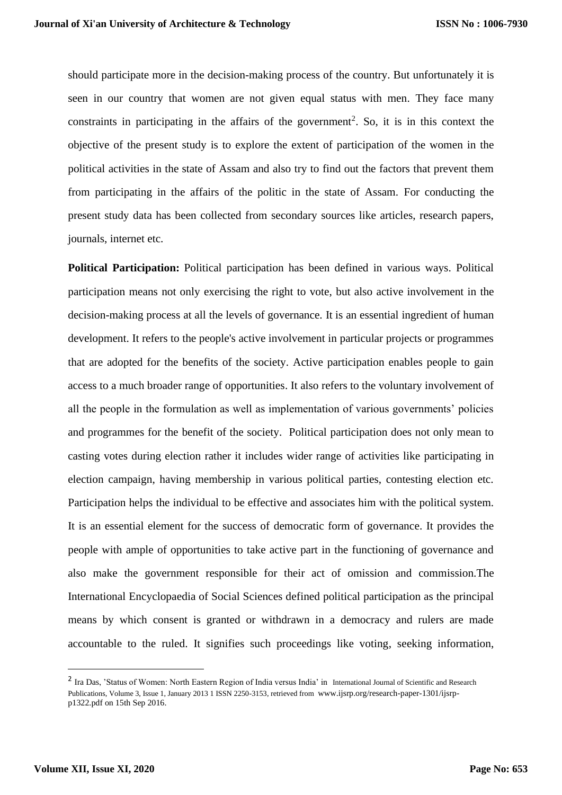should participate more in the decision-making process of the country. But unfortunately it is seen in our country that women are not given equal status with men. They face many constraints in participating in the affairs of the government<sup>2</sup>. So, it is in this context the objective of the present study is to explore the extent of participation of the women in the political activities in the state of Assam and also try to find out the factors that prevent them from participating in the affairs of the politic in the state of Assam. For conducting the present study data has been collected from secondary sources like articles, research papers, journals, internet etc.

**Political Participation:** Political participation has been defined in various ways. Political participation means not only exercising the right to vote, but also active involvement in the decision-making process at all the levels of governance. It is an essential ingredient of human development. It refers to the people's active involvement in particular projects or programmes that are adopted for the benefits of the society. Active participation enables people to gain access to a much broader range of opportunities. It also refers to the voluntary involvement of all the people in the formulation as well as implementation of various governments' policies and programmes for the benefit of the society. Political participation does not only mean to casting votes during election rather it includes wider range of activities like participating in election campaign, having membership in various political parties, contesting election etc. Participation helps the individual to be effective and associates him with the political system. It is an essential element for the success of democratic form of governance. It provides the people with ample of opportunities to take active part in the functioning of governance and also make the government responsible for their act of omission and commission.The International Encyclopaedia of Social Sciences defined political participation as the principal means by which consent is granted or withdrawn in a democracy and rulers are made accountable to the ruled. It signifies such proceedings like voting, seeking information,

<sup>&</sup>lt;sup>2</sup> Ira Das, 'Status of Women: North Eastern Region of India versus India' in International Journal of Scientific and Research Publications, Volume 3, Issue 1, January 2013 1 ISSN 2250-3153, retrieved from [www.ijsrp.org/research-paper-1301/ijsrp](http://www.ijsrp.org/research-paper-1301/ijsrp-p1322.pdf)[p1322.pdf](http://www.ijsrp.org/research-paper-1301/ijsrp-p1322.pdf) on 15th Sep 2016.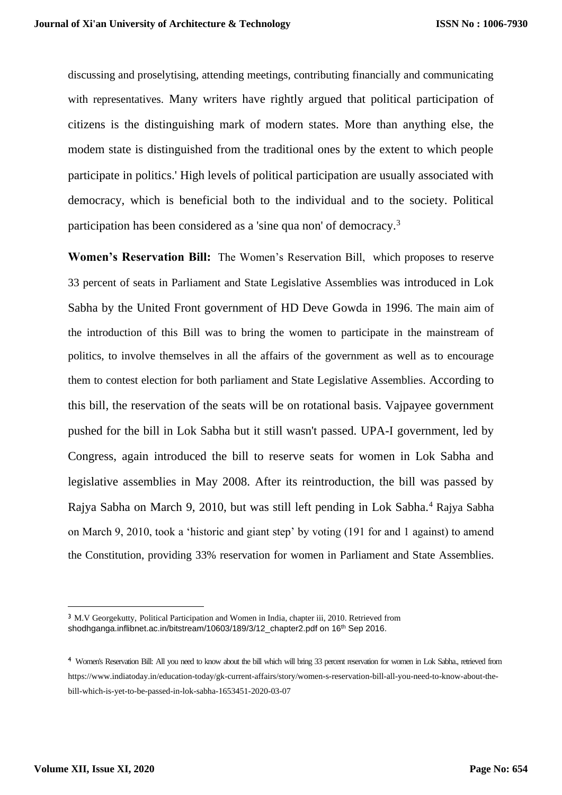discussing and proselytising, attending meetings, contributing financially and communicating with representatives. Many writers have rightly argued that political participation of citizens is the distinguishing mark of modern states. More than anything else, the modem state is distinguished from the traditional ones by the extent to which people participate in politics.' High levels of political participation are usually associated with democracy, which is beneficial both to the individual and to the society. Political participation has been considered as a 'sine qua non' of democracy.<sup>3</sup>

**Women's Reservation Bill:** The Women's Reservation Bill, which proposes to reserve 33 percent of seats in Parliament and State Legislative Assemblies was introduced in Lok Sabha by the United Front government of HD Deve Gowda in 1996. The main aim of the introduction of this Bill was to bring the women to participate in the mainstream of politics, to involve themselves in all the affairs of the government as well as to encourage them to contest election for both parliament and State Legislative Assemblies. According to this bill, the reservation of the seats will be on rotational basis. Vajpayee government pushed for the bill in Lok Sabha but it still wasn't passed. UPA-I government, led by Congress, again introduced the bill to reserve seats for women in Lok Sabha and legislative assemblies in May 2008. After its reintroduction, the bill was passed by Rajya Sabha on March 9, 2010, but was still left pending in Lok Sabha.<sup>4</sup> Rajya Sabha on March 9, 2010, took a 'historic and giant step' by voting (191 for and 1 against) to amend the Constitution, providing 33% reservation for women in Parliament and State Assemblies.

<sup>&</sup>lt;sup>3</sup> M.V Georgekutty, Political Participation and Women in India, chapter iii, 2010. Retrieved from shodhganga.inflibnet.ac.in/bitstream/10603/189/3/12\_chapter2.pdf on 16<sup>th</sup> Sep 2016.

<sup>4</sup> Women's Reservation Bill: All you need to know about the bill which will bring 33 percent reservation for women in Lok Sabha., retrieved from https://www.indiatoday.in/education-today/gk-current-affairs/story/women-s-reservation-bill-all-you-need-to-know-about-thebill-which-is-yet-to-be-passed-in-lok-sabha-1653451-2020-03-07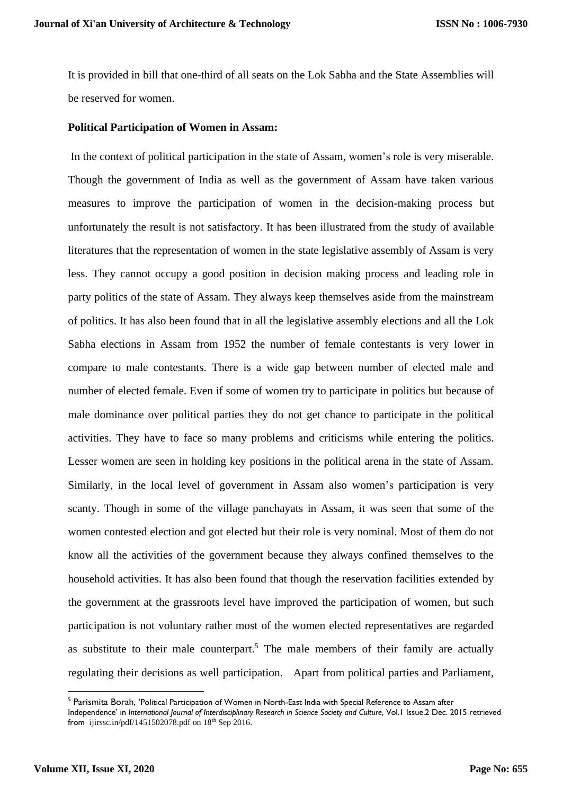It is provided in bill that one-third of all seats on the Lok Sabha and the State Assemblies will be reserved for women.

## **Political Participation of Women in Assam:**

In the context of political participation in the state of Assam, women's role is very miserable. Though the government of India as well as the government of Assam have taken various measures to improve the participation of women in the decision-making process but unfortunately the result is not satisfactory. It has been illustrated from the study of available literatures that the representation of women in the state legislative assembly of Assam is very less. They cannot occupy a good position in decision making process and leading role in party politics of the state of Assam. They always keep themselves aside from the mainstream of politics. It has also been found that in all the legislative assembly elections and all the Lok Sabha elections in Assam from 1952 the number of female contestants is very lower in compare to male contestants. There is a wide gap between number of elected male and number of elected female. Even if some of women try to participate in politics but because of male dominance over political parties they do not get chance to participate in the political activities. They have to face so many problems and criticisms while entering the politics. Lesser women are seen in holding key positions in the political arena in the state of Assam. Similarly, in the local level of government in Assam also women's participation is very scanty. Though in some of the village panchayats in Assam, it was seen that some of the women contested election and got elected but their role is very nominal. Most of them do not know all the activities of the government because they always confined themselves to the household activities. It has also been found that though the reservation facilities extended by the government at the grassroots level have improved the participation of women, but such participation is not voluntary rather most of the women elected representatives are regarded as substitute to their male counterpart.<sup>5</sup> The male members of their family are actually regulating their decisions as well participation. Apart from political parties and Parliament,

<sup>&</sup>lt;sup>5</sup> Parismita Borah, 'Political Participation of Women in North-East India with Special Reference to Assam after

Independence' in *International Journal of Interdisciplinary Research in Science Society and Culture,* Vol.1 Issue.2 Dec. 2015 retrieved from ijirssc.in/pdf/1451502078.pdf on  $18<sup>th</sup>$  Sep 2016.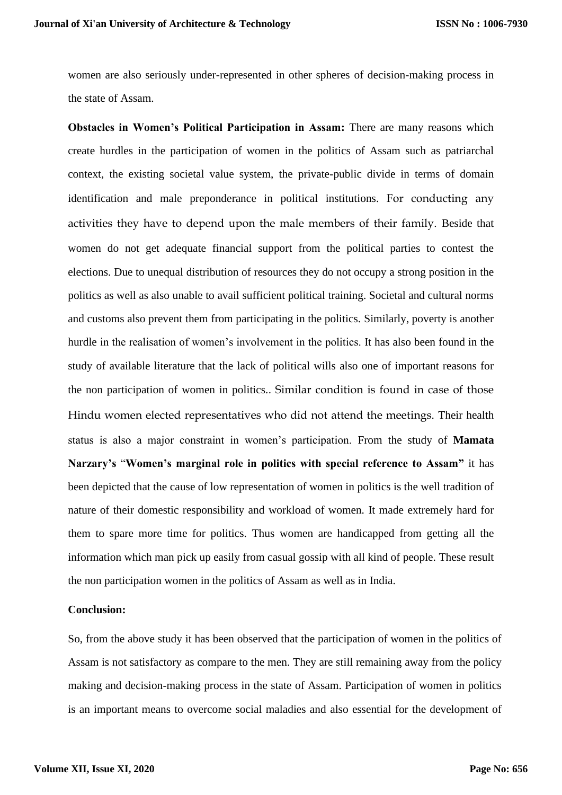women are also seriously under-represented in other spheres of decision-making process in the state of Assam.

**Obstacles in Women's Political Participation in Assam:** There are many reasons which create hurdles in the participation of women in the politics of Assam such as patriarchal context, the existing societal value system, the private-public divide in terms of domain identification and male preponderance in political institutions. For conducting any activities they have to depend upon the male members of their family. Beside that women do not get adequate financial support from the political parties to contest the elections. Due to unequal distribution of resources they do not occupy a strong position in the politics as well as also unable to avail sufficient political training. Societal and cultural norms and customs also prevent them from participating in the politics. Similarly, poverty is another hurdle in the realisation of women's involvement in the politics. It has also been found in the study of available literature that the lack of political wills also one of important reasons for the non participation of women in politics.. Similar condition is found in case of those Hindu women elected representatives who did not attend the meetings. Their health status is also a major constraint in women's participation. From the study of **Mamata Narzary's** "**Women's marginal role in politics with special reference to Assam"** it has been depicted that the cause of low representation of women in politics is the well tradition of nature of their domestic responsibility and workload of women. It made extremely hard for them to spare more time for politics. Thus women are handicapped from getting all the information which man pick up easily from casual gossip with all kind of people. These result the non participation women in the politics of Assam as well as in India.

### **Conclusion:**

So, from the above study it has been observed that the participation of women in the politics of Assam is not satisfactory as compare to the men. They are still remaining away from the policy making and decision-making process in the state of Assam. Participation of women in politics is an important means to overcome social maladies and also essential for the development of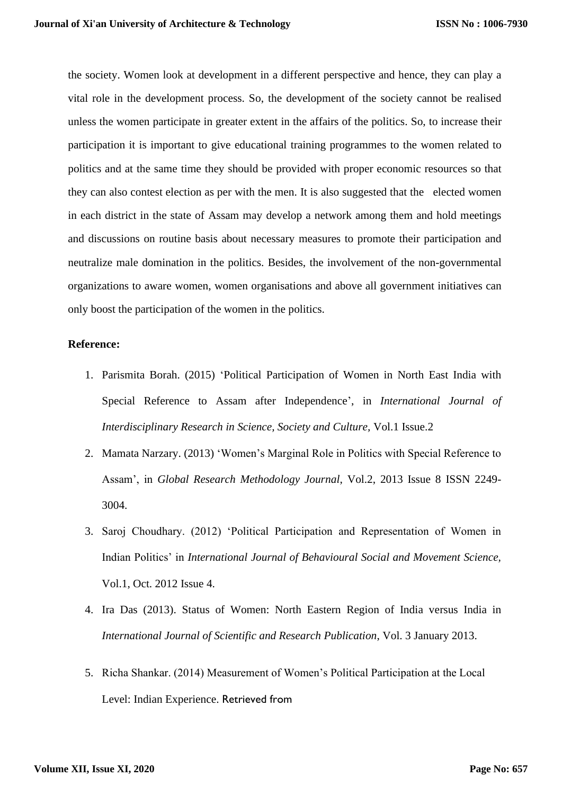the society. Women look at development in a different perspective and hence, they can play a vital role in the development process. So, the development of the society cannot be realised unless the women participate in greater extent in the affairs of the politics. So, to increase their participation it is important to give educational training programmes to the women related to politics and at the same time they should be provided with proper economic resources so that they can also contest election as per with the men. It is also suggested that the elected women in each district in the state of Assam may develop a network among them and hold meetings and discussions on routine basis about necessary measures to promote their participation and neutralize male domination in the politics. Besides, the involvement of the non-governmental organizations to aware women, women organisations and above all government initiatives can only boost the participation of the women in the politics.

### **Reference:**

- 1. Parismita Borah. (2015) 'Political Participation of Women in North East India with Special Reference to Assam after Independence', in *International Journal of Interdisciplinary Research in Science, Society and Culture,* Vol.1 Issue.2
- 2. Mamata Narzary. (2013) 'Women's Marginal Role in Politics with Special Reference to Assam', in *Global Research Methodology Journal*, Vol.2, 2013 Issue 8 ISSN 2249- 3004.
- 3. Saroj Choudhary. (2012) 'Political Participation and Representation of Women in Indian Politics' in *International Journal of Behavioural Social and Movement Science,* Vol.1, Oct. 2012 Issue 4.
- 4. Ira Das (2013). Status of Women: North Eastern Region of India versus India in *International Journal of Scientific and Research Publication*, Vol. 3 January 2013.
- 5. Richa Shankar. (2014) Measurement of Women's Political Participation at the Local Level: Indian Experience. Retrieved from